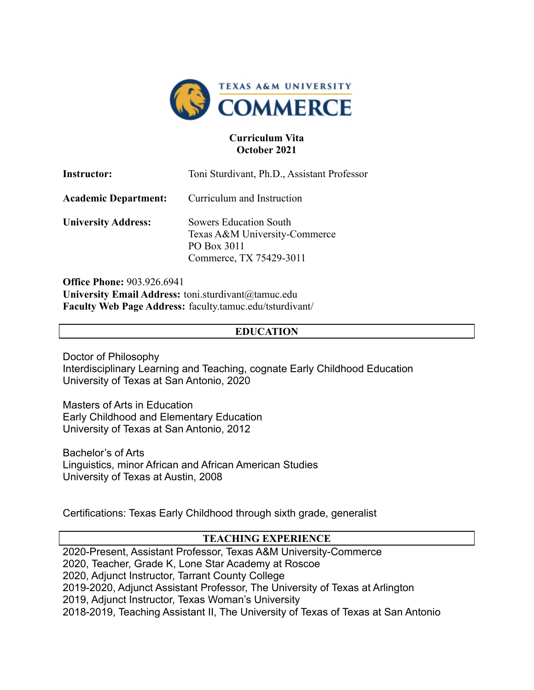

#### **Curriculum Vita October 2021**

| <b>Instructor:</b>          | Toni Sturdivant, Ph.D., Assistant Professor                                                              |
|-----------------------------|----------------------------------------------------------------------------------------------------------|
| <b>Academic Department:</b> | Curriculum and Instruction                                                                               |
| <b>University Address:</b>  | <b>Sowers Education South</b><br>Texas A&M University-Commerce<br>PO Box 3011<br>Commerce, TX 75429-3011 |

**Office Phone:** 903.926.6941 **University Email Address:** toni.sturdivant@tamuc.edu **Faculty Web Page Address:** faculty.tamuc.edu/tsturdivant/

#### **EDUCATION**

Doctor of Philosophy Interdisciplinary Learning and Teaching, cognate Early Childhood Education University of Texas at San Antonio, 2020

Masters of Arts in Education Early Childhood and Elementary Education University of Texas at San Antonio, 2012

Bachelor's of Arts Linguistics, minor African and African American Studies University of Texas at Austin, 2008

Certifications: Texas Early Childhood through sixth grade, generalist

### **TEACHING EXPERIENCE**

2020-Present, Assistant Professor, Texas A&M University-Commerce 2020, Teacher, Grade K, Lone Star Academy at Roscoe 2020, Adjunct Instructor, Tarrant County College 2019-2020, Adjunct Assistant Professor, The University of Texas at Arlington 2019, Adjunct Instructor, Texas Woman's University 2018-2019, Teaching Assistant II, The University of Texas of Texas at San Antonio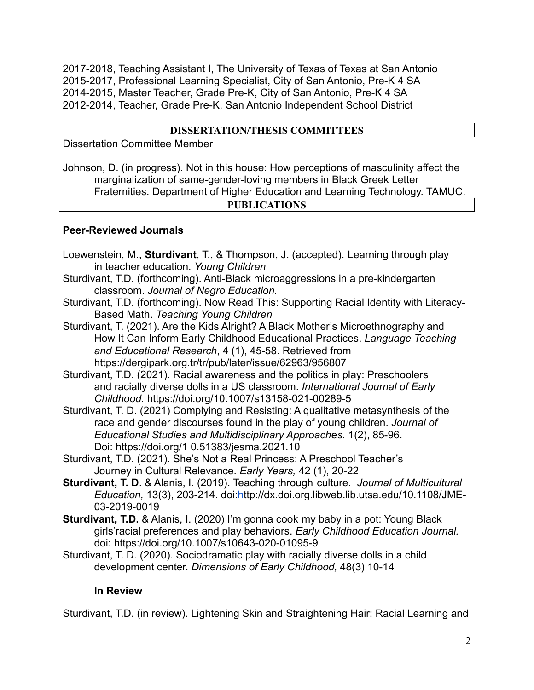2017-2018, Teaching Assistant I, The University of Texas of Texas at San Antonio 2015-2017, Professional Learning Specialist, City of San Antonio, Pre-K 4 SA 2014-2015, Master Teacher, Grade Pre-K, City of San Antonio, Pre-K 4 SA 2012-2014, Teacher, Grade Pre-K, San Antonio Independent School District

### **DISSERTATION/THESIS COMMITTEES**

Dissertation Committee Member

Johnson, D. (in progress). Not in this house: How perceptions of masculinity affect the marginalization of same-gender-loving members in Black Greek Letter Fraternities. Department of Higher Education and Learning Technology. TAMUC. **PUBLICATIONS**

### **Peer-Reviewed Journals**

- Loewenstein, M., **Sturdivant**, T., & Thompson, J. (accepted). Learning through play in teacher education. *Young Children*
- Sturdivant, T.D. (forthcoming). Anti-Black microaggressions in a pre-kindergarten classroom. *Journal of Negro Education.*
- Sturdivant, T.D. (forthcoming). Now Read This: Supporting Racial Identity with Literacy-Based Math. *Teaching Young Children*
- Sturdivant, T. (2021). Are the Kids Alright? A Black Mother's Microethnography and How It Can Inform Early Childhood Educational Practices. *Language Teaching and Educational Research*, 4 (1), 45-58. Retrieved from https://dergipark.org.tr/tr/pub/later/issue/62963/956807
- Sturdivant, T.D. (2021). Racial awareness and the politics in play: Preschoolers and racially diverse dolls in a US classroom. *International Journal of Early Childhood.* https://doi.org/10.1007/s13158-021-00289-5
- Sturdivant, T. D. (2021) Complying and Resisting: A qualitative metasynthesis of the race and gender discourses found in the play of young children. *Journal of Educational Studies and Multidisciplinary Approach*e*s.* 1(2), 85-96. Doi: https://doi.org/1 0.51383/jesma.2021.10
- Sturdivant, T.D. (2021). She's Not a Real Princess: A Preschool Teacher's Journey in Cultural Relevance. *Early Years,* 42 (1), 20-22
- **Sturdivant, T. D**. & Alanis, I. (2019). Teaching through culture. *Journal of Multicultural Education,* 13(3), 203-214. doi:http://dx.doi.org.libweb.lib.utsa.edu/10.1108/JME-03-2019-0019
- **Sturdivant, T.D.** & Alanis, I. (2020) I'm gonna cook my baby in a pot: Young Black girls'racial preferences and play behaviors. *Early Childhood Education Journal.* doi: https://doi.org/10.1007/s10643-020-01095-9
- Sturdivant, T. D. (2020). Sociodramatic play with racially diverse dolls in a child development center. *Dimensions of Early Childhood,* 48(3) 10-14

### **In Review**

Sturdivant, T.D. (in review). Lightening Skin and Straightening Hair: Racial Learning and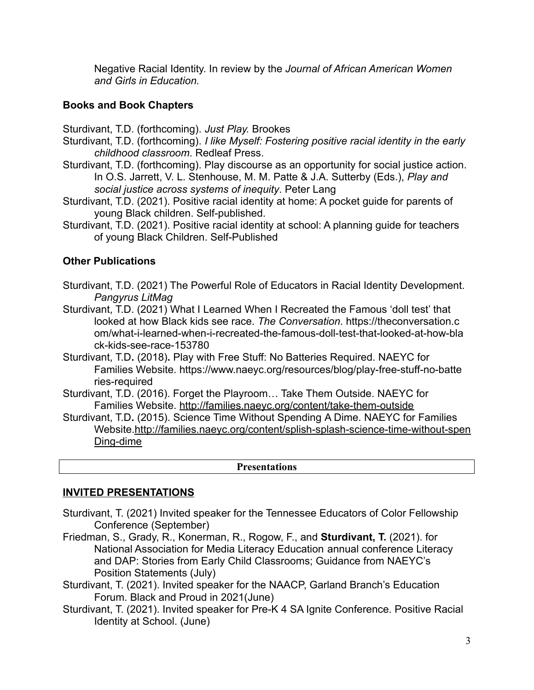Negative Racial Identity. In review by the *Journal of African American Women and Girls in Education.*

## **Books and Book Chapters**

Sturdivant, T.D. (forthcoming). *Just Play.* Brookes

- Sturdivant, T.D. (forthcoming). *I like Myself: Fostering positive racial identity in the early childhood classroom*. Redleaf Press.
- Sturdivant, T.D. (forthcoming). Play discourse as an opportunity for social justice action. In O.S. Jarrett, V. L. Stenhouse, M. M. Patte & J.A. Sutterby (Eds.), *Play and social justice across systems of inequity*. Peter Lang
- Sturdivant, T.D. (2021). Positive racial identity at home: A pocket guide for parents of young Black children. Self-published.
- Sturdivant, T.D. (2021). Positive racial identity at school: A planning guide for teachers of young Black Children. Self-Published

# **Other Publications**

- Sturdivant, T.D. (2021) The Powerful Role of Educators in Racial Identity Development. *Pangyrus LitMag*
- Sturdivant, T.D. (2021) What I Learned When I Recreated the Famous 'doll test' that looked at how Black kids see race. *The Conversation*. https://theconversation.c om/what-i-learned-when-i-recreated-the-famous-doll-test-that-looked-at-how-bla ck-kids-see-race-153780
- Sturdivant, T.D**.** (2018)**.** Play with Free Stuff: No Batteries Required. NAEYC for Families Website. https://www.naeyc.org/resources/blog/play-free-stuff-no-batte ries-required
- Sturdivant, T.D. (2016). Forget the Playroom… Take Them Outside. NAEYC for Families Website. <http://families.naeyc.org/content/take-them-outside>
- Sturdivant, T.D**.** (2015). Science Time Without Spending A Dime. NAEYC for Families Website.http://families.naeyc.org/content/splish-splash-science-time-without-spen Ding-dime

### **Presentations**

# **INVITED PRESENTATIONS**

- Sturdivant, T. (2021) Invited speaker for the Tennessee Educators of Color Fellowship Conference (September)
- Friedman, S., Grady, R., Konerman, R., Rogow, F., and **Sturdivant, T.** (2021). for National Association for Media Literacy Education annual conference Literacy and DAP: Stories from Early Child Classrooms; Guidance from NAEYC's Position Statements (July)
- Sturdivant, T. (2021). Invited speaker for the NAACP, Garland Branch's Education Forum. Black and Proud in 2021(June)
- Sturdivant, T. (2021). Invited speaker for Pre-K 4 SA Ignite Conference. Positive Racial Identity at School. (June)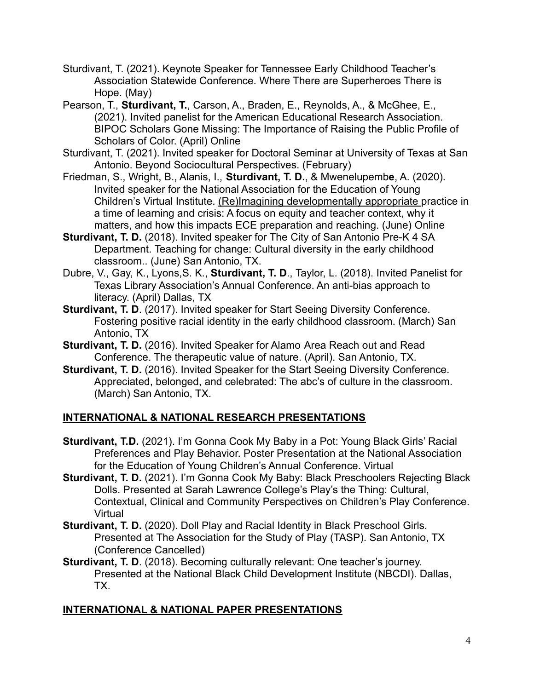- Sturdivant, T. (2021). Keynote Speaker for Tennessee Early Childhood Teacher's Association Statewide Conference. Where There are Superheroes There is Hope. (May)
- Pearson, T., **Sturdivant, T.**, Carson, A., Braden, E., Reynolds, A., & McGhee, E., (2021). Invited panelist for the American Educational Research Association. BIPOC Scholars Gone Missing: The Importance of Raising the Public Profile of Scholars of Color. (April) Online
- Sturdivant, T. (2021). Invited speaker for Doctoral Seminar at University of Texas at San Antonio. Beyond Sociocultural Perspectives. (February)
- Friedman, S., Wright, B., Alanis, I., **Sturdivant, T. D.**, & Mwenelupemb**e**, A. (2020). Invited speaker for the National Association for the Education of Young Children's Virtual Institute. [\(Re\)Imagining developmentally](https://www.pathlms.com/naeyc/courses/21401) appropriate practice in a time of learning and crisis: A focus on equity and teacher context, why it matters, and how this impacts ECE preparation and reaching. (June) Online
- **Sturdivant, T. D.** (2018). Invited speaker for The City of San Antonio Pre-K 4 SA Department. Teaching for change: Cultural diversity in the early childhood classroom.. (June) San Antonio, TX.
- Dubre, V., Gay, K., Lyons,S. K., **Sturdivant, T. D**., Taylor, L. (2018). Invited Panelist for Texas Library Association's Annual Conference. An anti-bias approach to literacy. (April) Dallas, TX
- **Sturdivant, T. D.** (2017). Invited speaker for Start Seeing Diversity Conference. Fostering positive racial identity in the early childhood classroom. (March) San Antonio, TX
- **Sturdivant, T. D.** (2016). Invited Speaker for Alamo Area Reach out and Read Conference. The therapeutic value of nature. (April). San Antonio, TX.
- **Sturdivant, T. D.** (2016). Invited Speaker for the Start Seeing Diversity Conference. Appreciated, belonged, and celebrated: The abc's of culture in the classroom. (March) San Antonio, TX.

## **INTERNATIONAL & NATIONAL RESEARCH PRESENTATIONS**

- **Sturdivant, T.D.** (2021). I'm Gonna Cook My Baby in a Pot: Young Black Girls' Racial Preferences and Play Behavior. Poster Presentation at the National Association for the Education of Young Children's Annual Conference. Virtual
- **Sturdivant, T. D.** (2021). I'm Gonna Cook My Baby: Black Preschoolers Rejecting Black Dolls. Presented at Sarah Lawrence College's Play's the Thing: Cultural, Contextual, Clinical and Community Perspectives on Children's Play Conference. Virtual
- **Sturdivant, T. D.** (2020). Doll Play and Racial Identity in Black Preschool Girls. Presented at The Association for the Study of Play (TASP). San Antonio, TX (Conference Cancelled)
- **Sturdivant, T. D**. (2018). Becoming culturally relevant: One teacher's journey. Presented at the National Black Child Development Institute (NBCDI). Dallas, TX.

## **INTERNATIONAL & NATIONAL PAPER PRESENTATIONS**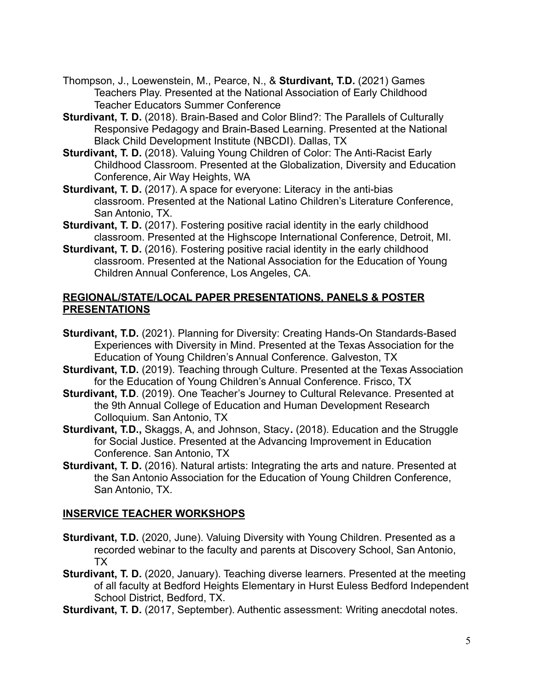- Thompson, J., Loewenstein, M., Pearce, N., & **Sturdivant, T.D.** (2021) Games Teachers Play. Presented at the National Association of Early Childhood Teacher Educators Summer Conference
- **Sturdivant, T. D.** (2018). Brain-Based and Color Blind?: The Parallels of Culturally Responsive Pedagogy and Brain-Based Learning. Presented at the National Black Child Development Institute (NBCDI). Dallas, TX
- **Sturdivant, T. D.** (2018). Valuing Young Children of Color: The Anti-Racist Early Childhood Classroom. Presented at the Globalization, Diversity and Education Conference, Air Way Heights, WA
- **Sturdivant, T. D.** (2017). A space for everyone: Literacy in the anti-bias classroom. Presented at the National Latino Children's Literature Conference, San Antonio, TX.
- **Sturdivant, T. D.** (2017). Fostering positive racial identity in the early childhood classroom. Presented at the Highscope International Conference, Detroit, MI.
- **Sturdivant, T. D.** (2016). Fostering positive racial identity in the early childhood classroom. Presented at the National Association for the Education of Young Children Annual Conference, Los Angeles, CA.

### **REGIONAL/STATE/LOCAL PAPER PRESENTATIONS, PANELS & POSTER PRESENTATIONS**

- **Sturdivant, T.D.** (2021). Planning for Diversity: Creating Hands-On Standards-Based Experiences with Diversity in Mind. Presented at the Texas Association for the Education of Young Children's Annual Conference. Galveston, TX
- **Sturdivant, T.D.** (2019). Teaching through Culture. Presented at the Texas Association for the Education of Young Children's Annual Conference. Frisco, TX
- **Sturdivant, T.D.** (2019). One Teacher's Journey to Cultural Relevance. Presented at the 9th Annual College of Education and Human Development Research Colloquium. San Antonio, TX
- **Sturdivant, T.D.,** Skaggs, A, and Johnson, Stacy**.** (2018). Education and the Struggle for Social Justice. Presented at the Advancing Improvement in Education Conference. San Antonio, TX
- **Sturdivant, T. D.** (2016). Natural artists: Integrating the arts and nature. Presented at the San Antonio Association for the Education of Young Children Conference, San Antonio, TX.

## **INSERVICE TEACHER WORKSHOPS**

- **Sturdivant, T.D.** (2020, June). Valuing Diversity with Young Children. Presented as a recorded webinar to the faculty and parents at Discovery School, San Antonio, TX
- **Sturdivant, T. D.** (2020, January). Teaching diverse learners. Presented at the meeting of all faculty at Bedford Heights Elementary in Hurst Euless Bedford Independent School District, Bedford, TX.
- **Sturdivant, T. D.** (2017, September). Authentic assessment: Writing anecdotal notes.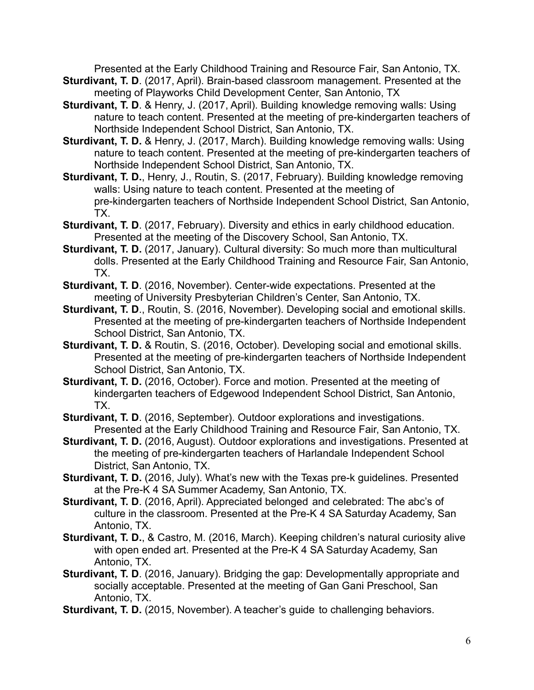Presented at the Early Childhood Training and Resource Fair, San Antonio, TX.

- **Sturdivant, T. D**. (2017, April). Brain-based classroom management. Presented at the meeting of Playworks Child Development Center, San Antonio, TX
- **Sturdivant, T. D**. & Henry, J. (2017, April). Building knowledge removing walls: Using nature to teach content. Presented at the meeting of pre-kindergarten teachers of Northside Independent School District, San Antonio, TX.
- **Sturdivant, T. D.** & Henry, J. (2017, March). Building knowledge removing walls: Using nature to teach content. Presented at the meeting of pre-kindergarten teachers of Northside Independent School District, San Antonio, TX.
- **Sturdivant, T. D.**, Henry, J., Routin, S. (2017, February). Building knowledge removing walls: Using nature to teach content. Presented at the meeting of pre-kindergarten teachers of Northside Independent School District, San Antonio, TX.
- **Sturdivant, T. D.** (2017, February). Diversity and ethics in early childhood education. Presented at the meeting of the Discovery School, San Antonio, TX.
- **Sturdivant, T. D.** (2017, January). Cultural diversity: So much more than multicultural dolls. Presented at the Early Childhood Training and Resource Fair, San Antonio, TX.
- **Sturdivant, T. D**. (2016, November). Center-wide expectations. Presented at the meeting of University Presbyterian Children's Center, San Antonio, TX.
- **Sturdivant, T. D**., Routin, S. (2016, November). Developing social and emotional skills. Presented at the meeting of pre-kindergarten teachers of Northside Independent School District, San Antonio, TX.
- **Sturdivant, T. D.** & Routin, S. (2016, October). Developing social and emotional skills. Presented at the meeting of pre-kindergarten teachers of Northside Independent School District, San Antonio, TX.
- **Sturdivant, T. D.** (2016, October). Force and motion. Presented at the meeting of kindergarten teachers of Edgewood Independent School District, San Antonio, TX.
- **Sturdivant, T. D**. (2016, September). Outdoor explorations and investigations. Presented at the Early Childhood Training and Resource Fair, San Antonio, TX.
- **Sturdivant, T. D.** (2016, August). Outdoor explorations and investigations. Presented at the meeting of pre-kindergarten teachers of Harlandale Independent School District, San Antonio, TX.
- **Sturdivant, T. D.** (2016, July). What's new with the Texas pre-k guidelines. Presented at the Pre-K 4 SA Summer Academy, San Antonio, TX.
- **Sturdivant, T. D**. (2016, April). Appreciated belonged and celebrated: The abc's of culture in the classroom. Presented at the Pre-K 4 SA Saturday Academy, San Antonio, TX.
- **Sturdivant, T. D.**, & Castro, M. (2016, March). Keeping children's natural curiosity alive with open ended art. Presented at the Pre-K 4 SA Saturday Academy, San Antonio, TX.
- **Sturdivant, T. D.** (2016, January). Bridging the gap: Developmentally appropriate and socially acceptable. Presented at the meeting of Gan Gani Preschool, San Antonio, TX.
- **Sturdivant, T. D.** (2015, November). A teacher's guide to challenging behaviors.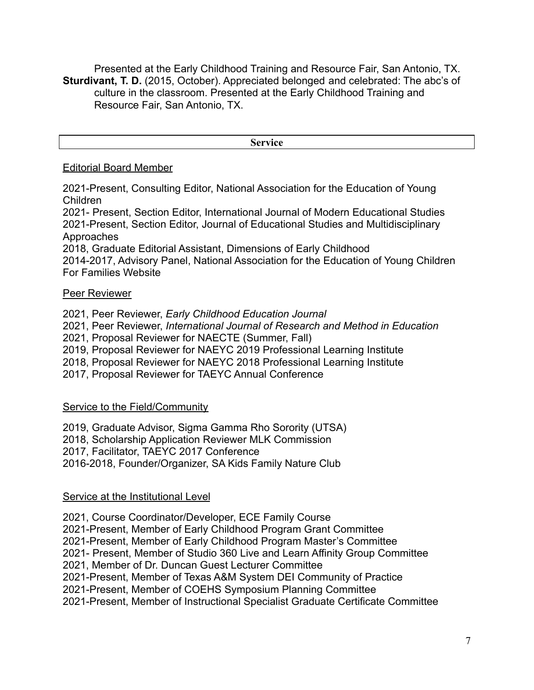Presented at the Early Childhood Training and Resource Fair, San Antonio, TX. **Sturdivant, T. D.** (2015, October). Appreciated belonged and celebrated: The abc's of culture in the classroom. Presented at the Early Childhood Training and Resource Fair, San Antonio, TX.

**Service**

#### Editorial Board Member

2021-Present, Consulting Editor, National Association for the Education of Young Children

2021- Present, Section Editor, International Journal of Modern Educational Studies 2021-Present, Section Editor, Journal of Educational Studies and Multidisciplinary Approaches

2018, Graduate Editorial Assistant, Dimensions of Early Childhood

2014-2017, Advisory Panel, National Association for the Education of Young Children For Families Website

### Peer Reviewer

2021, Peer Reviewer, *Early Childhood Education Journal*

2021, Peer Reviewer, *International Journal of Research and Method in Education*

2021, Proposal Reviewer for NAECTE (Summer, Fall)

2019, Proposal Reviewer for NAEYC 2019 Professional Learning Institute

2018, Proposal Reviewer for NAEYC 2018 Professional Learning Institute

2017, Proposal Reviewer for TAEYC Annual Conference

### Service to the Field/Community

2019, Graduate Advisor, Sigma Gamma Rho Sorority (UTSA)

2018, Scholarship Application Reviewer MLK Commission

2017, Facilitator, TAEYC 2017 Conference

2016-2018, Founder/Organizer, SA Kids Family Nature Club

### Service at the Institutional Level

2021, Course Coordinator/Developer, ECE Family Course 2021-Present, Member of Early Childhood Program Grant Committee 2021-Present, Member of Early Childhood Program Master's Committee 2021- Present, Member of Studio 360 Live and Learn Affinity Group Committee 2021, Member of Dr. Duncan Guest Lecturer Committee 2021-Present, Member of Texas A&M System DEI Community of Practice 2021-Present, Member of COEHS Symposium Planning Committee 2021-Present, Member of Instructional Specialist Graduate Certificate Committee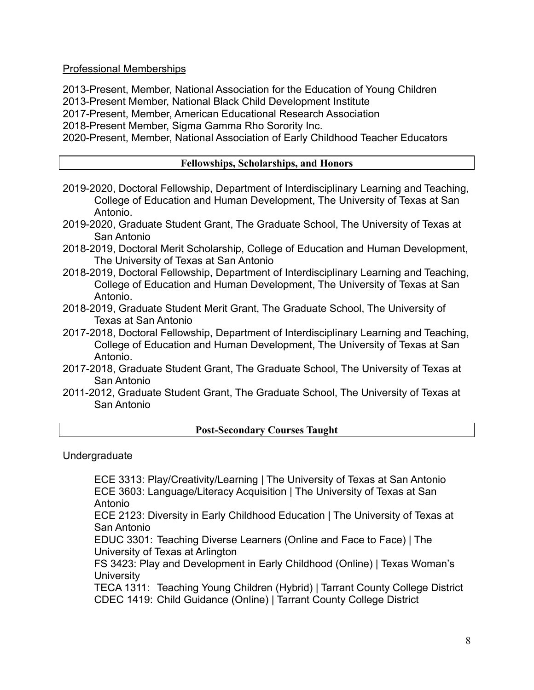Professional Memberships

2013-Present, Member, National Association for the Education of Young Children 2013-Present Member, National Black Child Development Institute 2017-Present, Member, American Educational Research Association 2018-Present Member, Sigma Gamma Rho Sorority Inc. 2020-Present, Member, National Association of Early Childhood Teacher Educators

### **Fellowships, Scholarships, and Honors**

- 2019-2020, Doctoral Fellowship, Department of Interdisciplinary Learning and Teaching, College of Education and Human Development, The University of Texas at San Antonio.
- 2019-2020, Graduate Student Grant, The Graduate School, The University of Texas at San Antonio
- 2018-2019, Doctoral Merit Scholarship, College of Education and Human Development, The University of Texas at San Antonio
- 2018-2019, Doctoral Fellowship, Department of Interdisciplinary Learning and Teaching, College of Education and Human Development, The University of Texas at San Antonio.
- 2018-2019, Graduate Student Merit Grant, The Graduate School, The University of Texas at San Antonio
- 2017-2018, Doctoral Fellowship, Department of Interdisciplinary Learning and Teaching, College of Education and Human Development, The University of Texas at San Antonio.
- 2017-2018, Graduate Student Grant, The Graduate School, The University of Texas at San Antonio
- 2011-2012, Graduate Student Grant, The Graduate School, The University of Texas at San Antonio

### **Post-Secondary Courses Taught**

Undergraduate

ECE 3313: Play/Creativity/Learning | The University of Texas at San Antonio ECE 3603: Language/Literacy Acquisition | The University of Texas at San Antonio

ECE 2123: Diversity in Early Childhood Education | The University of Texas at San Antonio

EDUC 3301: Teaching Diverse Learners (Online and Face to Face) | The University of Texas at Arlington

FS 3423: Play and Development in Early Childhood (Online) | Texas Woman's **University** 

TECA 1311: Teaching Young Children (Hybrid) | Tarrant County College District CDEC 1419: Child Guidance (Online) | Tarrant County College District